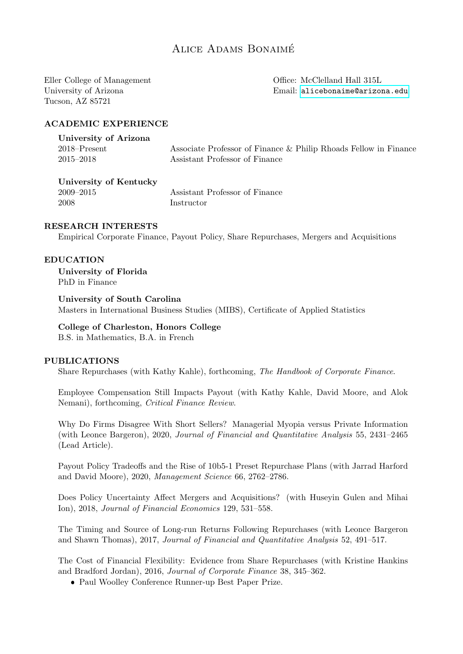## Alice Adams Bonaime´

Eller College of Management University of Arizona Tucson, AZ 85721

Office: McClelland Hall 315L Email: [alicebonaime@arizona.edu](mailto:alicebonaime@arizona.edu)

#### ACADEMIC EXPERIENCE

| University of Arizona |                                                                  |
|-----------------------|------------------------------------------------------------------|
| $2018 -$ Present      | Associate Professor of Finance & Philip Rhoads Fellow in Finance |
| $2015 - 2018$         | Assistant Professor of Finance                                   |

University of Kentucky 2009–2015 Assistant Professor of Finance 2008 Instructor

## RESEARCH INTERESTS

Empirical Corporate Finance, Payout Policy, Share Repurchases, Mergers and Acquisitions

#### EDUCATION

University of Florida PhD in Finance

# University of South Carolina

Masters in International Business Studies (MIBS), Certificate of Applied Statistics

## College of Charleston, Honors College

B.S. in Mathematics, B.A. in French

#### PUBLICATIONS

Share Repurchases (with Kathy Kahle), forthcoming, The Handbook of Corporate Finance.

Employee Compensation Still Impacts Payout (with Kathy Kahle, David Moore, and Alok Nemani), forthcoming, Critical Finance Review.

Why Do Firms Disagree With Short Sellers? Managerial Myopia versus Private Information (with Leonce Bargeron), 2020, Journal of Financial and Quantitative Analysis 55, 2431–2465 (Lead Article).

Payout Policy Tradeoffs and the Rise of 10b5-1 Preset Repurchase Plans (with Jarrad Harford and David Moore), 2020, Management Science 66, 2762–2786.

Does Policy Uncertainty Affect Mergers and Acquisitions? (with Huseyin Gulen and Mihai Ion), 2018, Journal of Financial Economics 129, 531–558.

The Timing and Source of Long-run Returns Following Repurchases (with Leonce Bargeron and Shawn Thomas), 2017, Journal of Financial and Quantitative Analysis 52, 491–517.

The Cost of Financial Flexibility: Evidence from Share Repurchases (with Kristine Hankins and Bradford Jordan), 2016, Journal of Corporate Finance 38, 345–362.

Paul Woolley Conference Runner-up Best Paper Prize.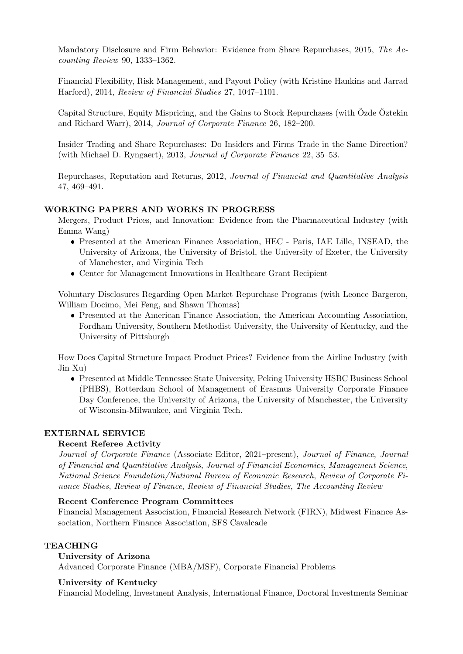Mandatory Disclosure and Firm Behavior: Evidence from Share Repurchases, 2015, The Accounting Review 90, 1333–1362.

Financial Flexibility, Risk Management, and Payout Policy (with Kristine Hankins and Jarrad Harford), 2014, Review of Financial Studies 27, 1047–1101.

Capital Structure, Equity Mispricing, and the Gains to Stock Repurchases (with Ozde Öztekin and Richard Warr), 2014, Journal of Corporate Finance 26, 182–200.

Insider Trading and Share Repurchases: Do Insiders and Firms Trade in the Same Direction? (with Michael D. Ryngaert), 2013, Journal of Corporate Finance 22, 35–53.

Repurchases, Reputation and Returns, 2012, Journal of Financial and Quantitative Analysis 47, 469–491.

## WORKING PAPERS AND WORKS IN PROGRESS

Mergers, Product Prices, and Innovation: Evidence from the Pharmaceutical Industry (with Emma Wang)

- Presented at the American Finance Association, HEC Paris, IAE Lille, INSEAD, the University of Arizona, the University of Bristol, the University of Exeter, the University of Manchester, and Virginia Tech
- Center for Management Innovations in Healthcare Grant Recipient

Voluntary Disclosures Regarding Open Market Repurchase Programs (with Leonce Bargeron, William Docimo, Mei Feng, and Shawn Thomas)

 Presented at the American Finance Association, the American Accounting Association, Fordham University, Southern Methodist University, the University of Kentucky, and the University of Pittsburgh

How Does Capital Structure Impact Product Prices? Evidence from the Airline Industry (with Jin Xu)

 Presented at Middle Tennessee State University, Peking University HSBC Business School (PHBS), Rotterdam School of Management of Erasmus University Corporate Finance Day Conference, the University of Arizona, the University of Manchester, the University of Wisconsin-Milwaukee, and Virginia Tech.

## EXTERNAL SERVICE

#### Recent Referee Activity

Journal of Corporate Finance (Associate Editor, 2021–present), Journal of Finance, Journal of Financial and Quantitative Analysis, Journal of Financial Economics, Management Science, National Science Foundation/National Bureau of Economic Research, Review of Corporate Finance Studies, Review of Finance, Review of Financial Studies, The Accounting Review

#### Recent Conference Program Committees

Financial Management Association, Financial Research Network (FIRN), Midwest Finance Association, Northern Finance Association, SFS Cavalcade

#### TEACHING

#### University of Arizona

Advanced Corporate Finance (MBA/MSF), Corporate Financial Problems

#### University of Kentucky

Financial Modeling, Investment Analysis, International Finance, Doctoral Investments Seminar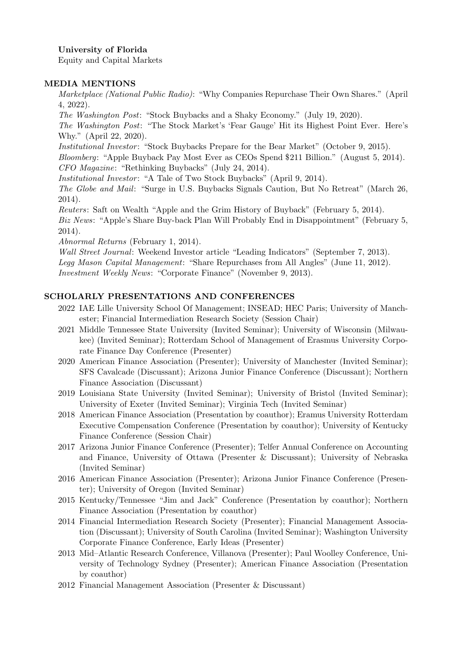University of Florida

Equity and Capital Markets

## MEDIA MENTIONS

Marketplace (National Public Radio): "Why Companies Repurchase Their Own Shares." (April 4, 2022).

The Washington Post: "Stock Buybacks and a Shaky Economy." (July 19, 2020).

The Washington Post: "The Stock Market's 'Fear Gauge' Hit its Highest Point Ever. Here's Why." (April 22, 2020).

Institutional Investor: "Stock Buybacks Prepare for the Bear Market" (October 9, 2015).

Bloomberg: "Apple Buyback Pay Most Ever as CEOs Spend \$211 Billion." (August 5, 2014). CFO Magazine: "Rethinking Buybacks" (July 24, 2014).

Institutional Investor: "A Tale of Two Stock Buybacks" (April 9, 2014).

The Globe and Mail: "Surge in U.S. Buybacks Signals Caution, But No Retreat" (March 26, 2014).

Reuters: Saft on Wealth "Apple and the Grim History of Buyback" (February 5, 2014).

Biz News: "Apple's Share Buy-back Plan Will Probably End in Disappointment" (February 5, 2014).

Abnormal Returns (February 1, 2014).

Wall Street Journal: Weekend Investor article "Leading Indicators" (September 7, 2013). Legg Mason Capital Management: "Share Repurchases from All Angles" (June 11, 2012). Investment Weekly News: "Corporate Finance" (November 9, 2013).

## SCHOLARLY PRESENTATIONS AND CONFERENCES

- 2022 IAE Lille University School Of Management; INSEAD; HEC Paris; University of Manchester; Financial Intermediation Research Society (Session Chair)
- 2021 Middle Tennessee State University (Invited Seminar); University of Wisconsin (Milwaukee) (Invited Seminar); Rotterdam School of Management of Erasmus University Corporate Finance Day Conference (Presenter)
- 2020 American Finance Association (Presenter); University of Manchester (Invited Seminar); SFS Cavalcade (Discussant); Arizona Junior Finance Conference (Discussant); Northern Finance Association (Discussant)
- 2019 Louisiana State University (Invited Seminar); University of Bristol (Invited Seminar); University of Exeter (Invited Seminar); Virginia Tech (Invited Seminar)
- 2018 American Finance Association (Presentation by coauthor); Eramus University Rotterdam Executive Compensation Conference (Presentation by coauthor); University of Kentucky Finance Conference (Session Chair)
- 2017 Arizona Junior Finance Conference (Presenter); Telfer Annual Conference on Accounting and Finance, University of Ottawa (Presenter & Discussant); University of Nebraska (Invited Seminar)
- 2016 American Finance Association (Presenter); Arizona Junior Finance Conference (Presenter); University of Oregon (Invited Seminar)
- 2015 Kentucky/Tennessee "Jim and Jack" Conference (Presentation by coauthor); Northern Finance Association (Presentation by coauthor)
- 2014 Financial Intermediation Research Society (Presenter); Financial Management Association (Discussant); University of South Carolina (Invited Seminar); Washington University Corporate Finance Conference, Early Ideas (Presenter)
- 2013 Mid–Atlantic Research Conference, Villanova (Presenter); Paul Woolley Conference, University of Technology Sydney (Presenter); American Finance Association (Presentation by coauthor)
- 2012 Financial Management Association (Presenter & Discussant)